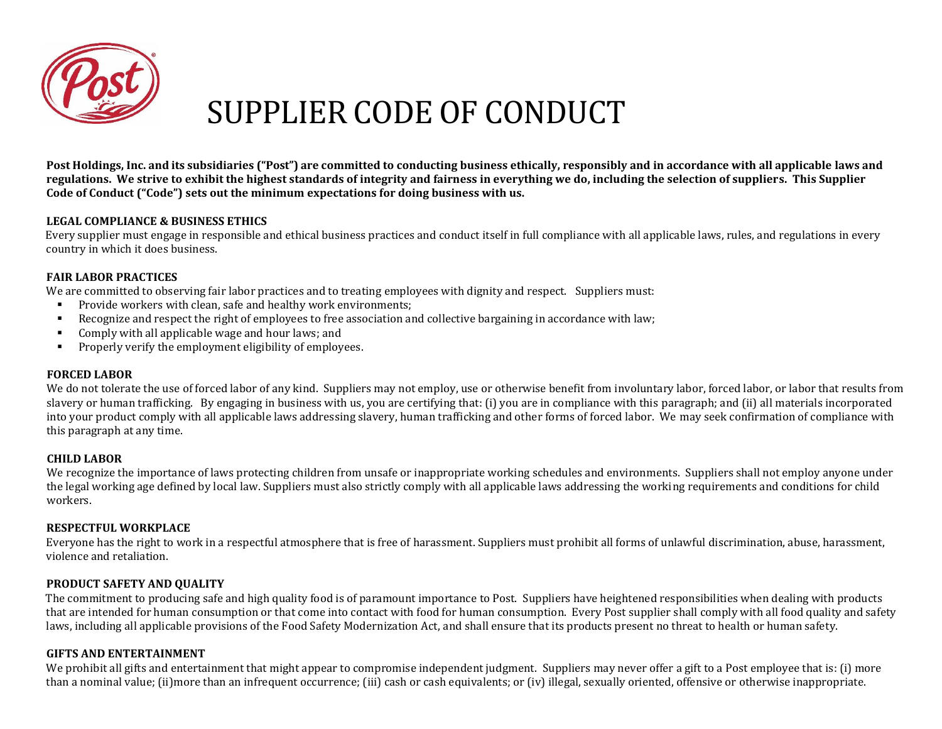

# SUPPLIER CODE OF CONDUCT

Post Holdings, Inc. and its subsidiaries ("Post") are committed to conducting business ethically, responsibly and in accordance with all applicable laws and **regulations. We strive to exhibit the highest standards of integrity and fairness in everything we do, including the selection of suppliers. This Supplier Code of Conduct ("Code") sets out the minimum expectations for doing business with us.** 

# **LEGAL COMPLIANCE & BUSINESS ETHICS**

Every supplier must engage in responsible and ethical business practices and conduct itself in full compliance with all applicable laws, rules, and regulations in every country in which it does business.

# **FAIR LABOR PRACTICES**

We are committed to observing fair labor practices and to treating employees with dignity and respect. Suppliers must:

- **•** Provide workers with clean, safe and healthy work environments;
- Recognize and respect the right of employees to free association and collective bargaining in accordance with law;
- Comply with all applicable wage and hour laws; and
- Properly verify the employment eligibility of employees.

## **FORCED LABOR**

We do not tolerate the use of forced labor of any kind. Suppliers may not employ, use or otherwise benefit from involuntary labor, forced labor, or labor that results from slavery or human trafficking. By engaging in business with us, you are certifying that: (i) you are in compliance with this paragraph; and (ii) all materials incorporated into your product comply with all applicable laws addressing slavery, human trafficking and other forms of forced labor. We may seek confirmation of compliance with this paragraph at any time.

## **CHILD LABOR**

We recognize the importance of laws protecting children from unsafe or inappropriate working schedules and environments. Suppliers shall not employ anyone under the legal working age defined by local law. Suppliers must also strictly comply with all applicable laws addressing the working requirements and conditions for child workers.

# **RESPECTFUL WORKPLACE**

Everyone has the right to work in a respectful atmosphere that is free of harassment. Suppliers must prohibit all forms of unlawful discrimination, abuse, harassment, violence and retaliation.

# **PRODUCT SAFETY AND QUALITY**

The commitment to producing safe and high quality food is of paramount importance to Post. Suppliers have heightened responsibilities when dealing with products that are intended for human consumption or that come into contact with food for human consumption. Every Post supplier shall comply with all food quality and safety laws, including all applicable provisions of the Food Safety Modernization Act, and shall ensure that its products present no threat to health or human safety.

## **GIFTS AND ENTERTAINMENT**

We prohibit all gifts and entertainment that might appear to compromise independent judgment. Suppliers may never offer a gift to a Post employee that is: (i) more than a nominal value; (ii)more than an infrequent occurrence; (iii) cash or cash equivalents; or (iv) illegal, sexually oriented, offensive or otherwise inappropriate.